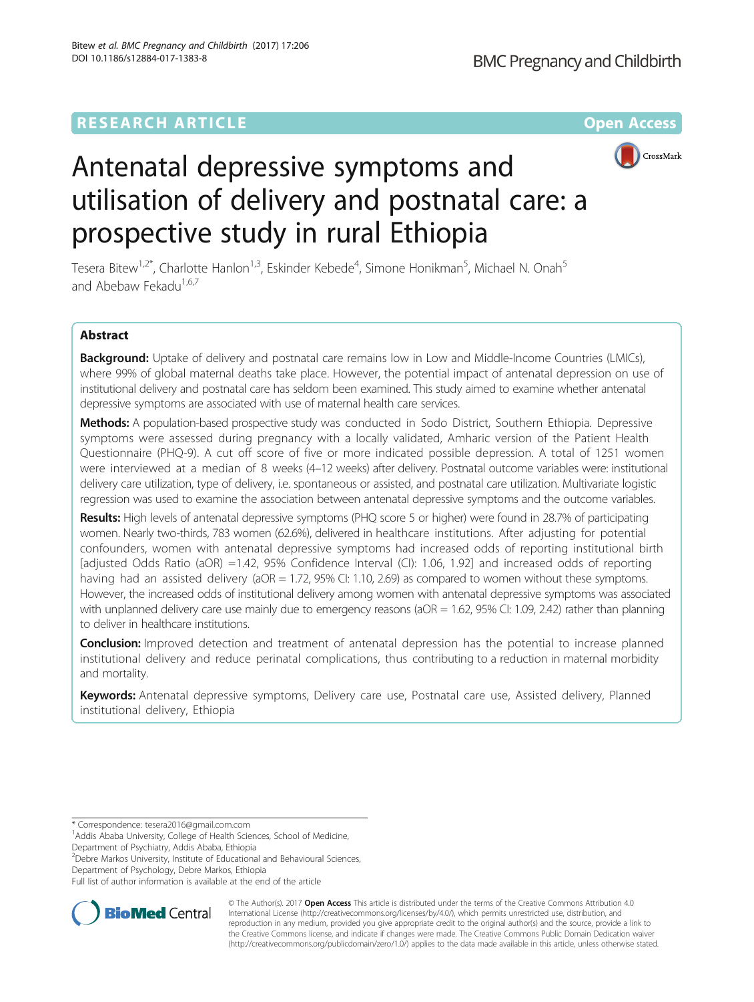## **RESEARCH ARTICLE Example 2014 12:30 The Company Access** (RESEARCH ARTICLE



# Antenatal depressive symptoms and utilisation of delivery and postnatal care: a prospective study in rural Ethiopia

Tesera Bitew<sup>1,2\*</sup>, Charlotte Hanlon<sup>1,3</sup>, Eskinder Kebede<sup>4</sup>, Simone Honikman<sup>5</sup>, Michael N. Onah<sup>5</sup> and Abebaw Fekadu<sup>1,6,7</sup>

## Abstract

Background: Uptake of delivery and postnatal care remains low in Low and Middle-Income Countries (LMICs), where 99% of global maternal deaths take place. However, the potential impact of antenatal depression on use of institutional delivery and postnatal care has seldom been examined. This study aimed to examine whether antenatal depressive symptoms are associated with use of maternal health care services.

Methods: A population-based prospective study was conducted in Sodo District, Southern Ethiopia. Depressive symptoms were assessed during pregnancy with a locally validated, Amharic version of the Patient Health Questionnaire (PHQ-9). A cut off score of five or more indicated possible depression. A total of 1251 women were interviewed at a median of 8 weeks (4–12 weeks) after delivery. Postnatal outcome variables were: institutional delivery care utilization, type of delivery, i.e. spontaneous or assisted, and postnatal care utilization. Multivariate logistic regression was used to examine the association between antenatal depressive symptoms and the outcome variables.

Results: High levels of antenatal depressive symptoms (PHQ score 5 or higher) were found in 28.7% of participating women. Nearly two-thirds, 783 women (62.6%), delivered in healthcare institutions. After adjusting for potential confounders, women with antenatal depressive symptoms had increased odds of reporting institutional birth [adjusted Odds Ratio (aOR) =1.42, 95% Confidence Interval (CI): 1.06, 1.92] and increased odds of reporting having had an assisted delivery (aOR = 1.72, 95% CI: 1.10, 2.69) as compared to women without these symptoms. However, the increased odds of institutional delivery among women with antenatal depressive symptoms was associated with unplanned delivery care use mainly due to emergency reasons (aOR = 1.62, 95% CI: 1.09, 2.42) rather than planning to deliver in healthcare institutions.

**Conclusion:** Improved detection and treatment of antenatal depression has the potential to increase planned institutional delivery and reduce perinatal complications, thus contributing to a reduction in maternal morbidity and mortality.

Keywords: Antenatal depressive symptoms, Delivery care use, Postnatal care use, Assisted delivery, Planned institutional delivery, Ethiopia

2 Debre Markos University, Institute of Educational and Behavioural Sciences, Department of Psychology, Debre Markos, Ethiopia

Full list of author information is available at the end of the article



© The Author(s). 2017 **Open Access** This article is distributed under the terms of the Creative Commons Attribution 4.0 International License [\(http://creativecommons.org/licenses/by/4.0/](http://creativecommons.org/licenses/by/4.0/)), which permits unrestricted use, distribution, and reproduction in any medium, provided you give appropriate credit to the original author(s) and the source, provide a link to the Creative Commons license, and indicate if changes were made. The Creative Commons Public Domain Dedication waiver [\(http://creativecommons.org/publicdomain/zero/1.0/](http://creativecommons.org/publicdomain/zero/1.0/)) applies to the data made available in this article, unless otherwise stated.

<sup>\*</sup> Correspondence: [tesera2016@gmail.com.com](mailto:tesera2016@gmail.com.com) <sup>1</sup>

<sup>&</sup>lt;sup>1</sup> Addis Ababa University, College of Health Sciences, School of Medicine, Department of Psychiatry, Addis Ababa, Ethiopia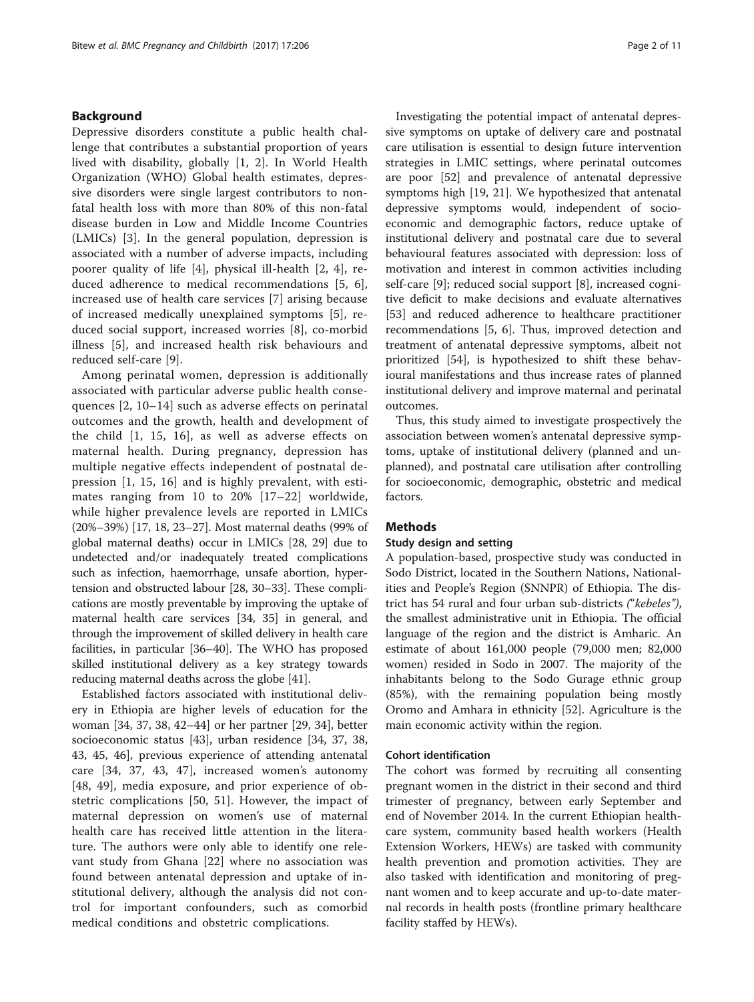## Background

Depressive disorders constitute a public health challenge that contributes a substantial proportion of years lived with disability, globally [\[1](#page-8-0), [2](#page-8-0)]. In World Health Organization (WHO) Global health estimates, depressive disorders were single largest contributors to nonfatal health loss with more than 80% of this non-fatal disease burden in Low and Middle Income Countries (LMICs) [\[3](#page-8-0)]. In the general population, depression is associated with a number of adverse impacts, including poorer quality of life [\[4](#page-8-0)], physical ill-health [\[2](#page-8-0), [4\]](#page-8-0), reduced adherence to medical recommendations [[5, 6](#page-9-0)], increased use of health care services [[7\]](#page-9-0) arising because of increased medically unexplained symptoms [[5](#page-9-0)], reduced social support, increased worries [\[8](#page-9-0)], co-morbid illness [\[5](#page-9-0)], and increased health risk behaviours and reduced self-care [[9\]](#page-9-0).

Among perinatal women, depression is additionally associated with particular adverse public health consequences [\[2](#page-8-0), [10](#page-9-0)–[14](#page-9-0)] such as adverse effects on perinatal outcomes and the growth, health and development of the child [[1,](#page-8-0) [15, 16](#page-9-0)], as well as adverse effects on maternal health. During pregnancy, depression has multiple negative effects independent of postnatal depression [\[1](#page-8-0), [15, 16](#page-9-0)] and is highly prevalent, with estimates ranging from 10 to 20% [[17](#page-9-0)–[22](#page-9-0)] worldwide, while higher prevalence levels are reported in LMICs (20%–39%) [\[17](#page-9-0), [18, 23](#page-9-0)–[27\]](#page-9-0). Most maternal deaths (99% of global maternal deaths) occur in LMICs [\[28, 29](#page-9-0)] due to undetected and/or inadequately treated complications such as infection, haemorrhage, unsafe abortion, hypertension and obstructed labour [\[28, 30](#page-9-0)–[33](#page-9-0)]. These complications are mostly preventable by improving the uptake of maternal health care services [\[34, 35\]](#page-9-0) in general, and through the improvement of skilled delivery in health care facilities, in particular [[36](#page-9-0)–[40\]](#page-9-0). The WHO has proposed skilled institutional delivery as a key strategy towards reducing maternal deaths across the globe [[41](#page-9-0)].

Established factors associated with institutional delivery in Ethiopia are higher levels of education for the woman [[34, 37, 38](#page-9-0), [42](#page-9-0)–[44](#page-9-0)] or her partner [[29](#page-9-0), [34](#page-9-0)], better socioeconomic status [[43\]](#page-9-0), urban residence [\[34, 37](#page-9-0), [38](#page-9-0), [43, 45](#page-9-0), [46\]](#page-9-0), previous experience of attending antenatal care [[34, 37](#page-9-0), [43, 47](#page-9-0)], increased women's autonomy [[48, 49\]](#page-9-0), media exposure, and prior experience of obstetric complications [[50, 51](#page-9-0)]. However, the impact of maternal depression on women's use of maternal health care has received little attention in the literature. The authors were only able to identify one relevant study from Ghana [[22](#page-9-0)] where no association was found between antenatal depression and uptake of institutional delivery, although the analysis did not control for important confounders, such as comorbid medical conditions and obstetric complications.

Investigating the potential impact of antenatal depressive symptoms on uptake of delivery care and postnatal care utilisation is essential to design future intervention strategies in LMIC settings, where perinatal outcomes are poor [\[52\]](#page-9-0) and prevalence of antenatal depressive symptoms high [\[19, 21](#page-9-0)]. We hypothesized that antenatal depressive symptoms would, independent of socioeconomic and demographic factors, reduce uptake of institutional delivery and postnatal care due to several behavioural features associated with depression: loss of motivation and interest in common activities including self-care [\[9\]](#page-9-0); reduced social support [[8\]](#page-9-0), increased cognitive deficit to make decisions and evaluate alternatives [[53\]](#page-10-0) and reduced adherence to healthcare practitioner recommendations [[5](#page-9-0), [6\]](#page-9-0). Thus, improved detection and treatment of antenatal depressive symptoms, albeit not prioritized [[54\]](#page-10-0), is hypothesized to shift these behavioural manifestations and thus increase rates of planned institutional delivery and improve maternal and perinatal outcomes.

Thus, this study aimed to investigate prospectively the association between women's antenatal depressive symptoms, uptake of institutional delivery (planned and unplanned), and postnatal care utilisation after controlling for socioeconomic, demographic, obstetric and medical factors.

## Methods

## Study design and setting

A population-based, prospective study was conducted in Sodo District, located in the Southern Nations, Nationalities and People's Region (SNNPR) of Ethiopia. The district has 54 rural and four urban sub-districts ("kebeles"), the smallest administrative unit in Ethiopia. The official language of the region and the district is Amharic. An estimate of about 161,000 people (79,000 men; 82,000 women) resided in Sodo in 2007. The majority of the inhabitants belong to the Sodo Gurage ethnic group (85%), with the remaining population being mostly Oromo and Amhara in ethnicity [[52\]](#page-9-0). Agriculture is the main economic activity within the region.

## Cohort identification

The cohort was formed by recruiting all consenting pregnant women in the district in their second and third trimester of pregnancy, between early September and end of November 2014. In the current Ethiopian healthcare system, community based health workers (Health Extension Workers, HEWs) are tasked with community health prevention and promotion activities. They are also tasked with identification and monitoring of pregnant women and to keep accurate and up-to-date maternal records in health posts (frontline primary healthcare facility staffed by HEWs).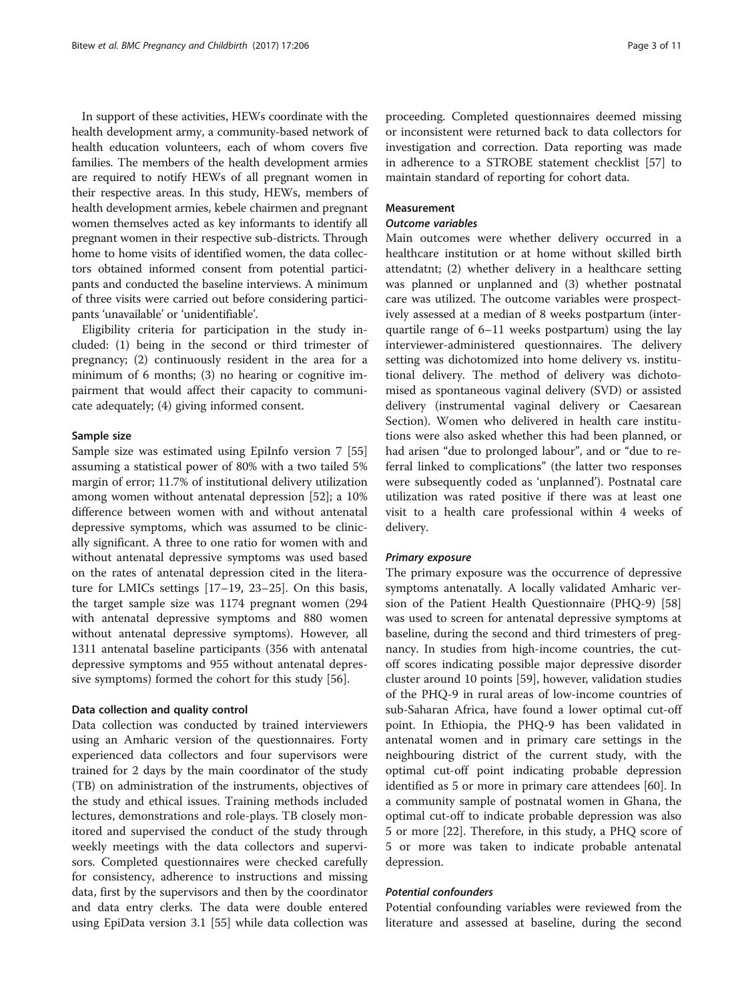In support of these activities, HEWs coordinate with the health development army, a community-based network of health education volunteers, each of whom covers five families. The members of the health development armies are required to notify HEWs of all pregnant women in their respective areas. In this study, HEWs, members of health development armies, kebele chairmen and pregnant women themselves acted as key informants to identify all pregnant women in their respective sub-districts. Through home to home visits of identified women, the data collectors obtained informed consent from potential participants and conducted the baseline interviews. A minimum of three visits were carried out before considering participants 'unavailable' or 'unidentifiable'.

Eligibility criteria for participation in the study included: (1) being in the second or third trimester of pregnancy; (2) continuously resident in the area for a minimum of 6 months; (3) no hearing or cognitive impairment that would affect their capacity to communicate adequately; (4) giving informed consent.

## Sample size

Sample size was estimated using EpiInfo version 7 [[55](#page-10-0)] assuming a statistical power of 80% with a two tailed 5% margin of error; 11.7% of institutional delivery utilization among women without antenatal depression [\[52](#page-9-0)]; a 10% difference between women with and without antenatal depressive symptoms, which was assumed to be clinically significant. A three to one ratio for women with and without antenatal depressive symptoms was used based on the rates of antenatal depression cited in the literature for LMICs settings [[17](#page-9-0)–[19](#page-9-0), [23](#page-9-0)–[25](#page-9-0)]. On this basis, the target sample size was 1174 pregnant women (294 with antenatal depressive symptoms and 880 women without antenatal depressive symptoms). However, all 1311 antenatal baseline participants (356 with antenatal depressive symptoms and 955 without antenatal depressive symptoms) formed the cohort for this study [\[56](#page-10-0)].

## Data collection and quality control

Data collection was conducted by trained interviewers using an Amharic version of the questionnaires. Forty experienced data collectors and four supervisors were trained for 2 days by the main coordinator of the study (TB) on administration of the instruments, objectives of the study and ethical issues. Training methods included lectures, demonstrations and role-plays. TB closely monitored and supervised the conduct of the study through weekly meetings with the data collectors and supervisors. Completed questionnaires were checked carefully for consistency, adherence to instructions and missing data, first by the supervisors and then by the coordinator and data entry clerks. The data were double entered using EpiData version 3.1 [[55](#page-10-0)] while data collection was

proceeding. Completed questionnaires deemed missing or inconsistent were returned back to data collectors for investigation and correction. Data reporting was made in adherence to a STROBE statement checklist [[57\]](#page-10-0) to maintain standard of reporting for cohort data.

## Measurement

## Outcome variables

Main outcomes were whether delivery occurred in a healthcare institution or at home without skilled birth attendatnt; (2) whether delivery in a healthcare setting was planned or unplanned and (3) whether postnatal care was utilized. The outcome variables were prospectively assessed at a median of 8 weeks postpartum (interquartile range of 6–11 weeks postpartum) using the lay interviewer-administered questionnaires. The delivery setting was dichotomized into home delivery vs. institutional delivery. The method of delivery was dichotomised as spontaneous vaginal delivery (SVD) or assisted delivery (instrumental vaginal delivery or Caesarean Section). Women who delivered in health care institutions were also asked whether this had been planned, or had arisen "due to prolonged labour", and or "due to referral linked to complications" (the latter two responses were subsequently coded as 'unplanned'). Postnatal care utilization was rated positive if there was at least one visit to a health care professional within 4 weeks of delivery.

## Primary exposure

The primary exposure was the occurrence of depressive symptoms antenatally. A locally validated Amharic version of the Patient Health Questionnaire (PHQ-9) [[58](#page-10-0)] was used to screen for antenatal depressive symptoms at baseline, during the second and third trimesters of pregnancy. In studies from high-income countries, the cutoff scores indicating possible major depressive disorder cluster around 10 points [[59\]](#page-10-0), however, validation studies of the PHQ-9 in rural areas of low-income countries of sub-Saharan Africa, have found a lower optimal cut-off point. In Ethiopia, the PHQ-9 has been validated in antenatal women and in primary care settings in the neighbouring district of the current study, with the optimal cut-off point indicating probable depression identified as 5 or more in primary care attendees [[60\]](#page-10-0). In a community sample of postnatal women in Ghana, the optimal cut-off to indicate probable depression was also 5 or more [[22\]](#page-9-0). Therefore, in this study, a PHQ score of 5 or more was taken to indicate probable antenatal depression.

## Potential confounders

Potential confounding variables were reviewed from the literature and assessed at baseline, during the second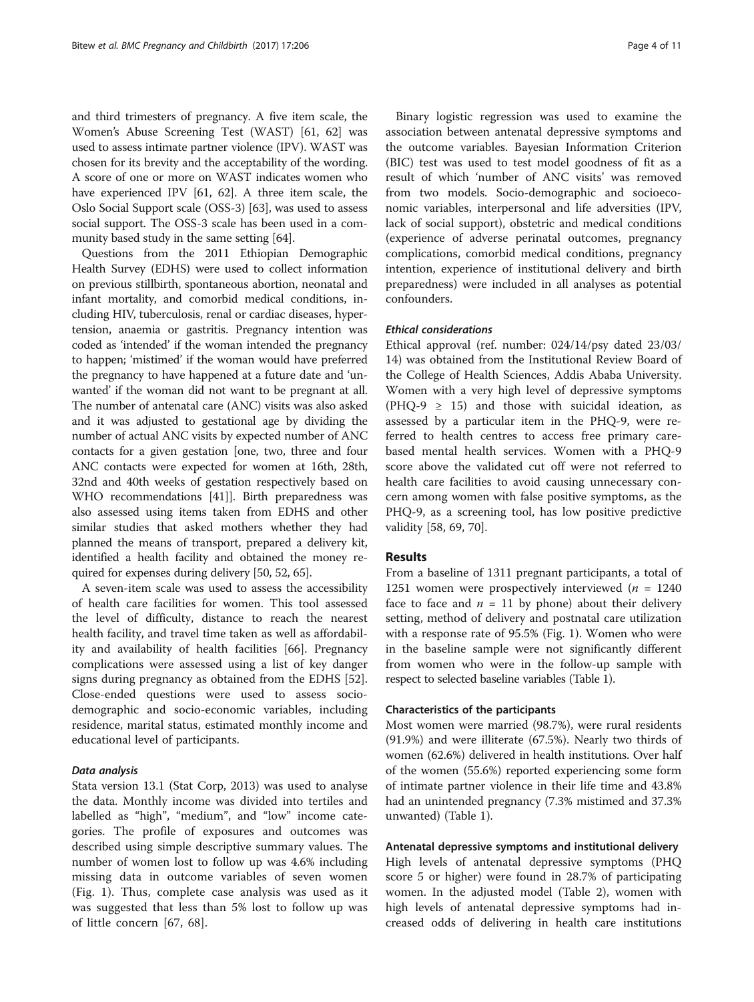and third trimesters of pregnancy. A five item scale, the Women's Abuse Screening Test (WAST) [\[61](#page-10-0), [62](#page-10-0)] was used to assess intimate partner violence (IPV). WAST was chosen for its brevity and the acceptability of the wording. A score of one or more on WAST indicates women who have experienced IPV [[61](#page-10-0), [62\]](#page-10-0). A three item scale, the Oslo Social Support scale (OSS-3) [[63](#page-10-0)], was used to assess social support. The OSS-3 scale has been used in a community based study in the same setting [\[64\]](#page-10-0).

Questions from the 2011 Ethiopian Demographic Health Survey (EDHS) were used to collect information on previous stillbirth, spontaneous abortion, neonatal and infant mortality, and comorbid medical conditions, including HIV, tuberculosis, renal or cardiac diseases, hypertension, anaemia or gastritis. Pregnancy intention was coded as 'intended' if the woman intended the pregnancy to happen; 'mistimed' if the woman would have preferred the pregnancy to have happened at a future date and 'unwanted' if the woman did not want to be pregnant at all. The number of antenatal care (ANC) visits was also asked and it was adjusted to gestational age by dividing the number of actual ANC visits by expected number of ANC contacts for a given gestation [one, two, three and four ANC contacts were expected for women at 16th, 28th, 32nd and 40th weeks of gestation respectively based on WHO recommendations [\[41\]](#page-9-0)]. Birth preparedness was also assessed using items taken from EDHS and other similar studies that asked mothers whether they had planned the means of transport, prepared a delivery kit, identified a health facility and obtained the money required for expenses during delivery [\[50, 52,](#page-9-0) [65](#page-10-0)].

A seven-item scale was used to assess the accessibility of health care facilities for women. This tool assessed the level of difficulty, distance to reach the nearest health facility, and travel time taken as well as affordability and availability of health facilities [[66](#page-10-0)]. Pregnancy complications were assessed using a list of key danger signs during pregnancy as obtained from the EDHS [\[52](#page-9-0)]. Close-ended questions were used to assess sociodemographic and socio-economic variables, including residence, marital status, estimated monthly income and educational level of participants.

## Data analysis

Stata version 13.1 (Stat Corp, 2013) was used to analyse the data. Monthly income was divided into tertiles and labelled as "high", "medium", and "low" income categories. The profile of exposures and outcomes was described using simple descriptive summary values. The number of women lost to follow up was 4.6% including missing data in outcome variables of seven women (Fig. [1\)](#page-4-0). Thus, complete case analysis was used as it was suggested that less than 5% lost to follow up was of little concern [\[67](#page-10-0), [68\]](#page-10-0).

Binary logistic regression was used to examine the association between antenatal depressive symptoms and the outcome variables. Bayesian Information Criterion (BIC) test was used to test model goodness of fit as a result of which 'number of ANC visits' was removed from two models. Socio-demographic and socioeconomic variables, interpersonal and life adversities (IPV, lack of social support), obstetric and medical conditions (experience of adverse perinatal outcomes, pregnancy complications, comorbid medical conditions, pregnancy intention, experience of institutional delivery and birth preparedness) were included in all analyses as potential confounders.

## Ethical considerations

Ethical approval (ref. number: 024/14/psy dated 23/03/ 14) was obtained from the Institutional Review Board of the College of Health Sciences, Addis Ababa University. Women with a very high level of depressive symptoms (PHQ-9  $\geq$  15) and those with suicidal ideation, as assessed by a particular item in the PHQ-9, were referred to health centres to access free primary carebased mental health services. Women with a PHQ-9 score above the validated cut off were not referred to health care facilities to avoid causing unnecessary concern among women with false positive symptoms, as the PHQ-9, as a screening tool, has low positive predictive validity [\[58](#page-10-0), [69, 70\]](#page-10-0).

## Results

From a baseline of 1311 pregnant participants, a total of 1251 women were prospectively interviewed ( $n = 1240$ ) face to face and  $n = 11$  by phone) about their delivery setting, method of delivery and postnatal care utilization with a response rate of 95.5% (Fig. [1](#page-4-0)). Women who were in the baseline sample were not significantly different from women who were in the follow-up sample with respect to selected baseline variables (Table [1](#page-5-0)).

## Characteristics of the participants

Most women were married (98.7%), were rural residents (91.9%) and were illiterate (67.5%). Nearly two thirds of women (62.6%) delivered in health institutions. Over half of the women (55.6%) reported experiencing some form of intimate partner violence in their life time and 43.8% had an unintended pregnancy (7.3% mistimed and 37.3% unwanted) (Table [1](#page-5-0)).

Antenatal depressive symptoms and institutional delivery High levels of antenatal depressive symptoms (PHQ score 5 or higher) were found in 28.7% of participating women. In the adjusted model (Table [2](#page-6-0)), women with high levels of antenatal depressive symptoms had increased odds of delivering in health care institutions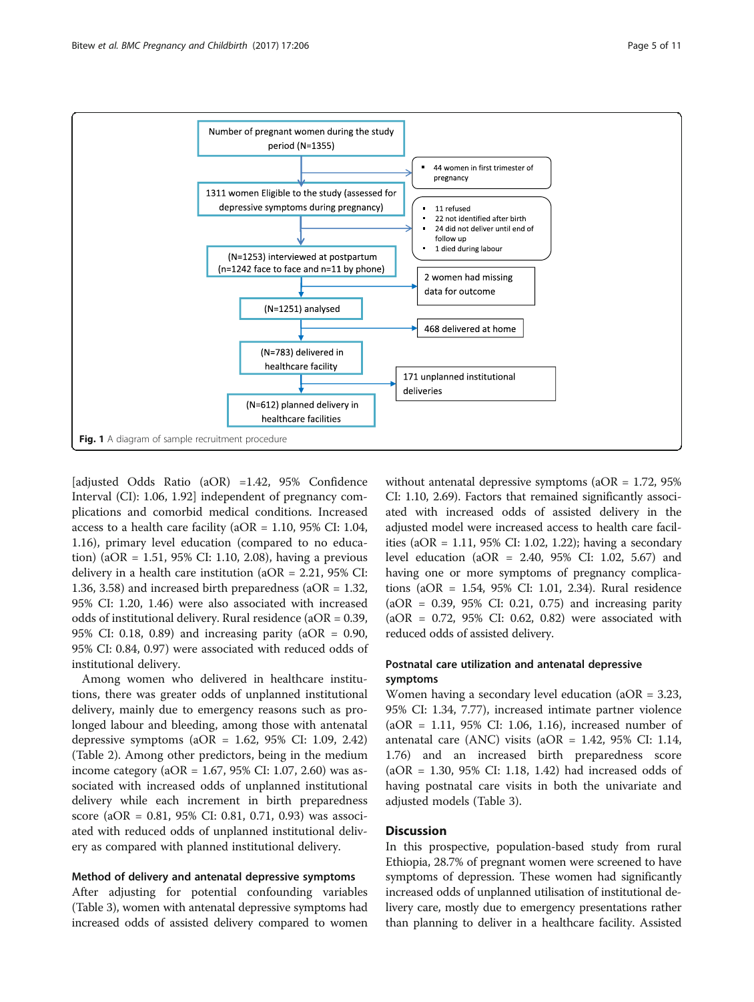<span id="page-4-0"></span>

[adjusted Odds Ratio (aOR) =1.42, 95% Confidence Interval (CI): 1.06, 1.92] independent of pregnancy complications and comorbid medical conditions. Increased access to a health care facility ( $aOR = 1.10$ ,  $95\%$  CI: 1.04, 1.16), primary level education (compared to no education) (aOR = 1.51, 95% CI: 1.10, 2.08), having a previous delivery in a health care institution (aOR = 2.21, 95% CI: 1.36, 3.58) and increased birth preparedness ( $aOR = 1.32$ , 95% CI: 1.20, 1.46) were also associated with increased odds of institutional delivery. Rural residence (aOR = 0.39, 95% CI: 0.18, 0.89) and increasing parity (aOR = 0.90, 95% CI: 0.84, 0.97) were associated with reduced odds of institutional delivery.

Among women who delivered in healthcare institutions, there was greater odds of unplanned institutional delivery, mainly due to emergency reasons such as prolonged labour and bleeding, among those with antenatal depressive symptoms (aOR = 1.62, 95% CI: 1.09, 2.42) (Table [2](#page-6-0)). Among other predictors, being in the medium income category (aOR = 1.67, 95% CI: 1.07, 2.60) was associated with increased odds of unplanned institutional delivery while each increment in birth preparedness score (aOR = 0.81, 95% CI: 0.81, 0.71, 0.93) was associated with reduced odds of unplanned institutional delivery as compared with planned institutional delivery.

## Method of delivery and antenatal depressive symptoms

After adjusting for potential confounding variables (Table [3](#page-7-0)), women with antenatal depressive symptoms had increased odds of assisted delivery compared to women without antenatal depressive symptoms ( $aOR = 1.72$ , 95%) CI: 1.10, 2.69). Factors that remained significantly associated with increased odds of assisted delivery in the adjusted model were increased access to health care facilities (aOR = 1.11, 95% CI: 1.02, 1.22); having a secondary level education (aOR = 2.40, 95% CI: 1.02, 5.67) and having one or more symptoms of pregnancy complications (aOR = 1.54, 95% CI: 1.01, 2.34). Rural residence  $(aOR = 0.39, 95\% \text{ CI: } 0.21, 0.75)$  and increasing parity  $(aOR = 0.72, 95\% \text{ CI: } 0.62, 0.82)$  were associated with reduced odds of assisted delivery.

## Postnatal care utilization and antenatal depressive symptoms

Women having a secondary level education (aOR = 3.23, 95% CI: 1.34, 7.77), increased intimate partner violence (aOR = 1.11, 95% CI: 1.06, 1.16), increased number of antenatal care (ANC) visits (aOR = 1.42, 95% CI: 1.14, 1.76) and an increased birth preparedness score  $(aOR = 1.30, 95\% \text{ CI: } 1.18, 1.42)$  had increased odds of having postnatal care visits in both the univariate and adjusted models (Table [3](#page-7-0)).

## **Discussion**

In this prospective, population-based study from rural Ethiopia, 28.7% of pregnant women were screened to have symptoms of depression. These women had significantly increased odds of unplanned utilisation of institutional delivery care, mostly due to emergency presentations rather than planning to deliver in a healthcare facility. Assisted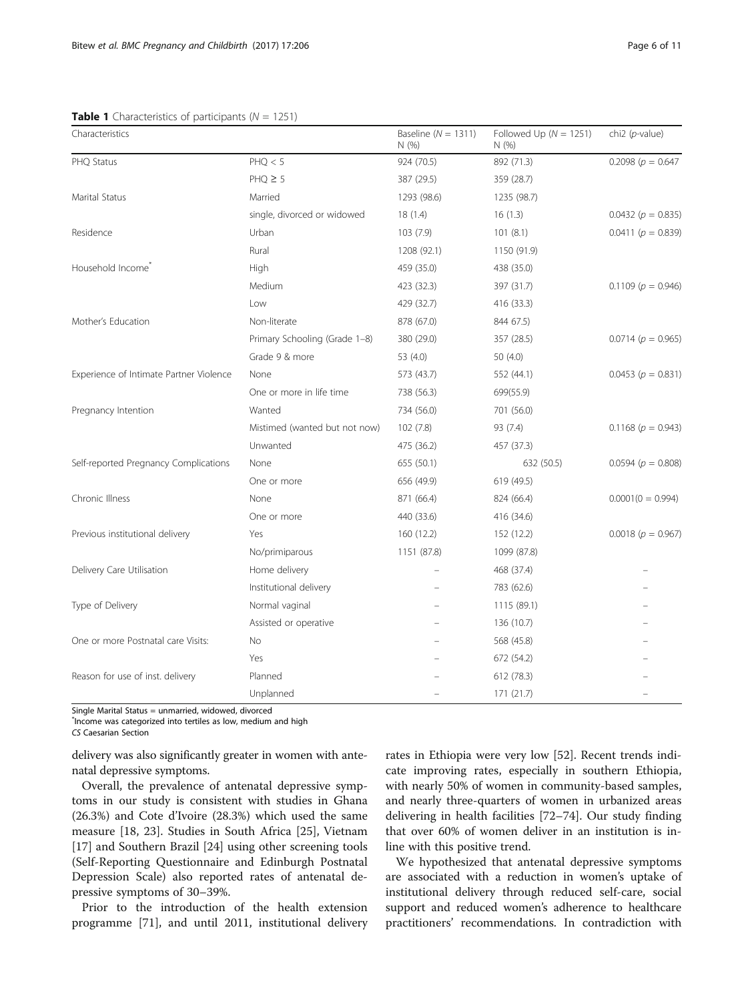## <span id="page-5-0"></span>**Table 1** Characteristics of participants ( $N = 1251$ )

| Characteristics                         |                               | Baseline ( $N = 1311$ )<br>N(% ) | Followed Up ( $N = 1251$ )<br>N(% ) | chi2 (p-value)           |
|-----------------------------------------|-------------------------------|----------------------------------|-------------------------------------|--------------------------|
| PHQ Status                              | PHQ < 5                       | 924 (70.5)                       | 892 (71.3)                          | $0.2098(p = 0.647)$      |
|                                         | $PHQ \geq 5$                  | 387 (29.5)                       | 359 (28.7)                          |                          |
| Marital Status                          | Married                       | 1293 (98.6)                      | 1235 (98.7)                         |                          |
|                                         | single, divorced or widowed   | 18(1.4)                          | 16(1.3)                             | $0.0432 (p = 0.835)$     |
| Residence                               | Urban                         | 103(7.9)                         | 101(8.1)                            | $0.0411 (p = 0.839)$     |
|                                         | Rural                         | 1208 (92.1)                      | 1150 (91.9)                         |                          |
| Household Income <sup>*</sup>           | High                          | 459 (35.0)                       | 438 (35.0)                          |                          |
|                                         | Medium                        | 423 (32.3)                       | 397 (31.7)                          | $0.1109(p = 0.946)$      |
|                                         | Low                           | 429 (32.7)                       | 416 (33.3)                          |                          |
| Mother's Education                      | Non-literate                  | 878 (67.0)                       | 844 67.5)                           |                          |
|                                         | Primary Schooling (Grade 1-8) | 380 (29.0)                       | 357 (28.5)                          | $0.0714$ ( $p = 0.965$ ) |
|                                         | Grade 9 & more                | 53 (4.0)                         | 50 $(4.0)$                          |                          |
| Experience of Intimate Partner Violence | None                          | 573 (43.7)                       | 552 (44.1)                          | $0.0453 (p = 0.831)$     |
|                                         | One or more in life time      | 738 (56.3)                       | 699(55.9)                           |                          |
| Pregnancy Intention                     | Wanted                        | 734 (56.0)                       | 701 (56.0)                          |                          |
|                                         | Mistimed (wanted but not now) | 102(7.8)                         | 93 (7.4)                            | $0.1168 (p = 0.943)$     |
|                                         | Unwanted                      | 475 (36.2)                       | 457 (37.3)                          |                          |
| Self-reported Pregnancy Complications   | None                          | 655 (50.1)                       | 632 (50.5)                          | $0.0594(p = 0.808)$      |
|                                         | One or more                   | 656 (49.9)                       | 619 (49.5)                          |                          |
| Chronic Illness                         | None                          | 871 (66.4)                       | 824 (66.4)                          | $0.0001(0 = 0.994)$      |
|                                         | One or more                   | 440 (33.6)                       | 416 (34.6)                          |                          |
| Previous institutional delivery         | Yes                           | 160 (12.2)                       | 152 (12.2)                          | $0.0018(p = 0.967)$      |
|                                         | No/primiparous                | 1151 (87.8)                      | 1099 (87.8)                         |                          |
| Delivery Care Utilisation               | Home delivery                 |                                  | 468 (37.4)                          |                          |
|                                         | Institutional delivery        | $\overline{a}$                   | 783 (62.6)                          |                          |
| Type of Delivery                        | Normal vaginal                |                                  | 1115 (89.1)                         |                          |
|                                         | Assisted or operative         |                                  | 136 (10.7)                          |                          |
| One or more Postnatal care Visits:      | No                            |                                  | 568 (45.8)                          |                          |
|                                         | Yes                           |                                  | 672 (54.2)                          |                          |
| Reason for use of inst. delivery        | Planned                       |                                  | 612 (78.3)                          |                          |
|                                         | Unplanned                     |                                  | 171 (21.7)                          |                          |

Single Marital Status = unmarried, widowed, divorced

\* Income was categorized into tertiles as low, medium and high

CS Caesarian Section

delivery was also significantly greater in women with antenatal depressive symptoms.

Overall, the prevalence of antenatal depressive symptoms in our study is consistent with studies in Ghana (26.3%) and Cote d'Ivoire (28.3%) which used the same measure [[18, 23\]](#page-9-0). Studies in South Africa [\[25](#page-9-0)], Vietnam [[17\]](#page-9-0) and Southern Brazil [[24\]](#page-9-0) using other screening tools (Self-Reporting Questionnaire and Edinburgh Postnatal Depression Scale) also reported rates of antenatal depressive symptoms of 30–39%.

Prior to the introduction of the health extension programme [[71](#page-10-0)], and until 2011, institutional delivery rates in Ethiopia were very low [\[52](#page-9-0)]. Recent trends indicate improving rates, especially in southern Ethiopia, with nearly 50% of women in community-based samples, and nearly three-quarters of women in urbanized areas delivering in health facilities [\[72](#page-10-0)–[74\]](#page-10-0). Our study finding that over 60% of women deliver in an institution is inline with this positive trend.

We hypothesized that antenatal depressive symptoms are associated with a reduction in women's uptake of institutional delivery through reduced self-care, social support and reduced women's adherence to healthcare practitioners' recommendations. In contradiction with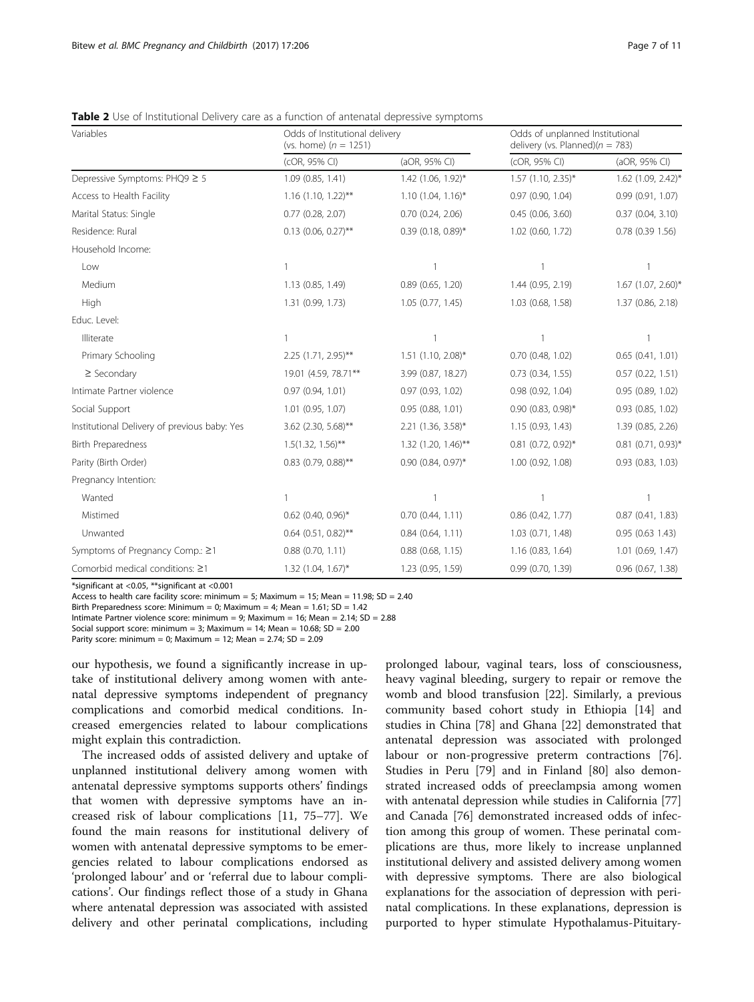| Variables                                    | Odds of Institutional delivery<br>(vs. home) $(n = 1251)$ |                       | Odds of unplanned Institutional<br>delivery (vs. Planned)( $n = 783$ ) |                       |
|----------------------------------------------|-----------------------------------------------------------|-----------------------|------------------------------------------------------------------------|-----------------------|
|                                              | (cOR, 95% CI)                                             | (aOR, 95% CI)         | (cOR, 95% CI)                                                          | (aOR, 95% CI)         |
| Depressive Symptoms: PHQ9 ≥ 5                | 1.09 (0.85, 1.41)                                         | 1.42 (1.06, 1.92)*    | $1.57$ (1.10, 2.35)*                                                   | 1.62 (1.09, 2.42)*    |
| Access to Health Facility                    | $1.16$ (1.10, 1.22)**                                     | $1.10$ (1.04, 1.16)*  | 0.97(0.90, 1.04)                                                       | 0.99(0.91, 1.07)      |
| Marital Status: Single                       | 0.77(0.28, 2.07)                                          | 0.70(0.24, 2.06)      | 0.45(0.06, 3.60)                                                       | 0.37(0.04, 3.10)      |
| Residence: Rural                             | $0.13$ (0.06, 0.27)**                                     | $0.39$ (0.18, 0.89)*  | $1.02$ (0.60, 1.72)                                                    | 0.78(0.391.56)        |
| Household Income:                            |                                                           |                       |                                                                        |                       |
| Low                                          |                                                           |                       |                                                                        |                       |
| Medium                                       | 1.13 (0.85, 1.49)                                         | $0.89$ (0.65, 1.20)   | 1.44 (0.95, 2.19)                                                      | $1.67$ (1.07, 2.60)*  |
| High                                         | 1.31 (0.99, 1.73)                                         | 1.05(0.77, 1.45)      | 1.03 (0.68, 1.58)                                                      | 1.37 (0.86, 2.18)     |
| Educ. Level:                                 |                                                           |                       |                                                                        |                       |
| Illiterate                                   |                                                           |                       |                                                                        |                       |
| Primary Schooling                            | 2.25 (1.71, 2.95)**                                       | $1.51$ (1.10, 2.08)*  | $0.70$ $(0.48, 1.02)$                                                  | 0.65(0.41, 1.01)      |
| $\geq$ Secondary                             | 19.01 (4.59, 78.71**                                      | 3.99 (0.87, 18.27)    | 0.73(0.34, 1.55)                                                       | $0.57$ $(0.22, 1.51)$ |
| Intimate Partner violence                    | 0.97(0.94, 1.01)                                          | 0.97 (0.93, 1.02)     | 0.98 (0.92, 1.04)                                                      | 0.95 (0.89, 1.02)     |
| Social Support                               | 1.01 (0.95, 1.07)                                         | 0.95 (0.88, 1.01)     | $0.90$ (0.83, 0.98)*                                                   | $0.93$ $(0.85, 1.02)$ |
| Institutional Delivery of previous baby: Yes | 3.62 (2.30, 5.68)**                                       | $2.21$ (1.36, 3.58)*  | 1.15(0.93, 1.43)                                                       | 1.39 (0.85, 2.26)     |
| <b>Birth Preparedness</b>                    | $1.5(1.32, 1.56)$ **                                      | 1.32 (1.20, 1.46)**   | $0.81$ (0.72, 0.92)*                                                   | $0.81$ (0.71, 0.93)*  |
| Parity (Birth Order)                         | $0.83$ (0.79, 0.88)**                                     | $0.90$ (0.84, 0.97)*  | 1.00 (0.92, 1.08)                                                      | 0.93(0.83, 1.03)      |
| Pregnancy Intention:                         |                                                           |                       |                                                                        |                       |
| Wanted                                       |                                                           |                       |                                                                        |                       |
| Mistimed                                     | $0.62$ (0.40, 0.96)*                                      | $0.70$ $(0.44, 1.11)$ | $0.86$ $(0.42, 1.77)$                                                  | 0.87(0.41, 1.83)      |
| Unwanted                                     | $0.64$ (0.51, 0.82)**                                     | 0.84(0.64, 1.11)      | 1.03(0.71, 1.48)                                                       | 0.95(0.631.43)        |
| Symptoms of Pregnancy Comp.: ≥1              | 0.88(0.70, 1.11)                                          | $0.88$ (0.68, 1.15)   | 1.16(0.83, 1.64)                                                       | $1.01$ $(0.69, 1.47)$ |
| Comorbid medical conditions: ≥1              | $1.32$ (1.04, 1.67)*                                      | 1.23 (0.95, 1.59)     | 0.99(0.70, 1.39)                                                       | $0.96$ $(0.67, 1.38)$ |

<span id="page-6-0"></span>**Table 2** Use of Institutional Delivery care as a function of antenatal depressive symptoms

\*significant at <0.05, \*\*significant at <0.001

Access to health care facility score: minimum = 5; Maximum = 15; Mean = 11.98; SD = 2.40

Birth Preparedness score: Minimum = 0; Maximum = 4; Mean =  $1.61$ ; SD =  $1.42$ 

Intimate Partner violence score: minimum = 9; Maximum = 16; Mean = 2.14;  $SD = 2.88$ 

Social support score: minimum =  $3$ : Maximum =  $14$ : Mean =  $10.68$ : SD =  $2.00$ Parity score: minimum = 0; Maximum = 12; Mean = 2.74; SD = 2.09

our hypothesis, we found a significantly increase in uptake of institutional delivery among women with antenatal depressive symptoms independent of pregnancy complications and comorbid medical conditions. Increased emergencies related to labour complications might explain this contradiction.

The increased odds of assisted delivery and uptake of unplanned institutional delivery among women with antenatal depressive symptoms supports others' findings that women with depressive symptoms have an increased risk of labour complications [[11,](#page-9-0) [75](#page-10-0)–[77\]](#page-10-0). We found the main reasons for institutional delivery of women with antenatal depressive symptoms to be emergencies related to labour complications endorsed as 'prolonged labour' and or 'referral due to labour complications'. Our findings reflect those of a study in Ghana where antenatal depression was associated with assisted delivery and other perinatal complications, including

prolonged labour, vaginal tears, loss of consciousness, heavy vaginal bleeding, surgery to repair or remove the womb and blood transfusion [[22\]](#page-9-0). Similarly, a previous community based cohort study in Ethiopia [[14](#page-9-0)] and studies in China [[78](#page-10-0)] and Ghana [[22](#page-9-0)] demonstrated that antenatal depression was associated with prolonged labour or non-progressive preterm contractions [\[76](#page-10-0)]. Studies in Peru [[79\]](#page-10-0) and in Finland [\[80\]](#page-10-0) also demonstrated increased odds of preeclampsia among women with antenatal depression while studies in California [[77](#page-10-0)] and Canada [\[76\]](#page-10-0) demonstrated increased odds of infection among this group of women. These perinatal complications are thus, more likely to increase unplanned institutional delivery and assisted delivery among women with depressive symptoms. There are also biological explanations for the association of depression with perinatal complications. In these explanations, depression is purported to hyper stimulate Hypothalamus-Pituitary-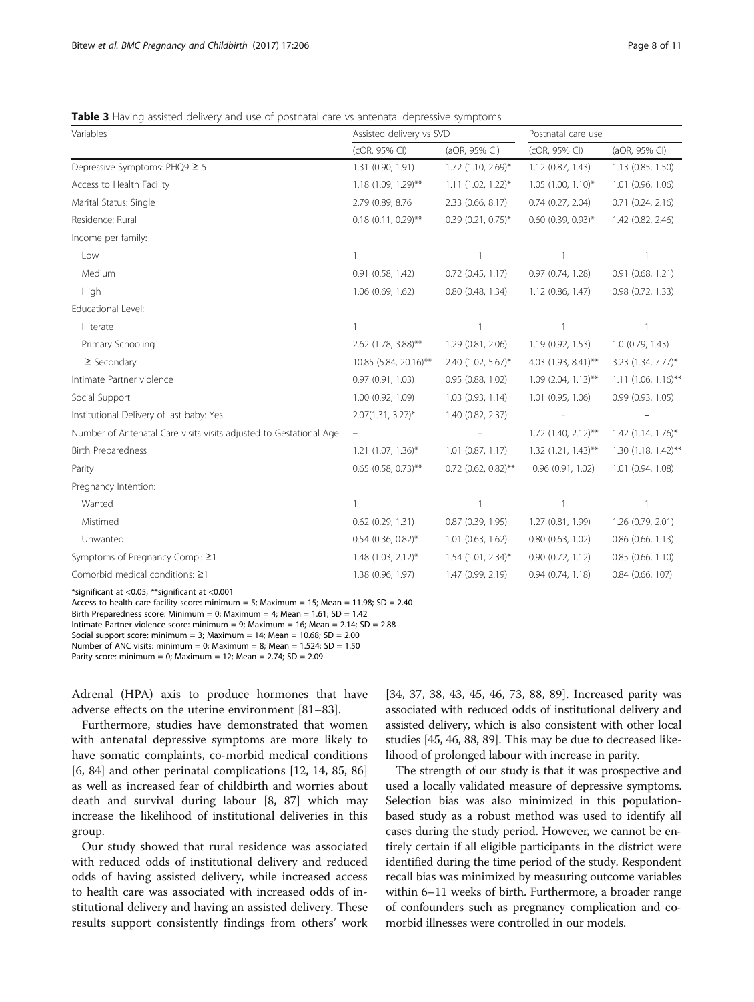<span id="page-7-0"></span>Table 3 Having assisted delivery and use of postnatal care vs antenatal depressive symptoms

| Variables                                                          | Assisted delivery vs SVD |                         |                       | Postnatal care use    |  |
|--------------------------------------------------------------------|--------------------------|-------------------------|-----------------------|-----------------------|--|
|                                                                    | (cOR, 95% CI)            | (aOR, 95% CI)           | (cOR, 95% CI)         | (aOR, 95% CI)         |  |
| Depressive Symptoms: PHQ9 ≥ 5                                      | 1.31 (0.90, 1.91)        | $1.72$ (1.10, 2.69)*    | 1.12(0.87, 1.43)      | 1.13 (0.85, 1.50)     |  |
| Access to Health Facility                                          | 1.18 (1.09, 1.29)**      | $1.11$ $(1.02, 1.22)$ * | $1.05$ (1.00, 1.10)*  | $1.01$ (0.96, 1.06)   |  |
| Marital Status: Single                                             | 2.79 (0.89, 8.76)        | 2.33 (0.66, 8.17)       | $0.74$ $(0.27, 2.04)$ | $0.71$ $(0.24, 2.16)$ |  |
| Residence: Rural                                                   | $0.18$ (0.11, 0.29)**    | $0.39$ (0.21, 0.75)*    | $0.60$ (0.39, 0.93)*  | 1.42 (0.82, 2.46)     |  |
| Income per family:                                                 |                          |                         |                       |                       |  |
| Low                                                                |                          |                         |                       | 1                     |  |
| Medium                                                             | $0.91$ $(0.58, 1.42)$    | $0.72$ (0.45, 1.17)     | 0.97(0.74, 1.28)      | 0.91(0.68, 1.21)      |  |
| High                                                               | 1.06 (0.69, 1.62)        | $0.80$ $(0.48, 1.34)$   | 1.12(0.86, 1.47)      | 0.98(0.72, 1.33)      |  |
| Educational Level:                                                 |                          |                         |                       |                       |  |
| Illiterate                                                         | 1                        |                         |                       | 1                     |  |
| Primary Schooling                                                  | 2.62 (1.78, 3.88)**      | 1.29 (0.81, 2.06)       | 1.19 (0.92, 1.53)     | $1.0$ (0.79, 1.43)    |  |
| $\geq$ Secondary                                                   | 10.85 (5.84, 20.16)**    | 2.40 (1.02, 5.67)*      | 4.03 (1.93, 8.41)**   | 3.23 (1.34, 7.77)*    |  |
| Intimate Partner violence                                          | 0.97(0.91, 1.03)         | $0.95$ $(0.88, 1.02)$   | $1.09$ (2.04, 1.13)** | $1.11$ (1.06, 1.16)** |  |
| Social Support                                                     | 1.00 (0.92, 1.09)        | $1.03$ (0.93, 1.14)     | 1.01 (0.95, 1.06)     | 0.99(0.93, 1.05)      |  |
| Institutional Delivery of last baby: Yes                           | $2.07(1.31, 3.27)^*$     | 1.40 (0.82, 2.37)       |                       |                       |  |
| Number of Antenatal Care visits visits adjusted to Gestational Age |                          |                         | $1.72$ (1.40, 2.12)** | 1.42 (1.14, 1.76)*    |  |
| <b>Birth Preparedness</b>                                          | $1.21$ (1.07, 1.36)*     | $1.01$ $(0.87, 1.17)$   | $1.32$ (1.21, 1.43)** | $1.30(1.18, 1.42)$ ** |  |
| Parity                                                             | $0.65$ (0.58, 0.73)**    | $0.72$ (0.62, 0.82)**   | 0.96(0.91, 1.02)      | 1.01 (0.94, 1.08)     |  |
| Pregnancy Intention:                                               |                          |                         |                       |                       |  |
| Wanted                                                             |                          | $\mathbf{1}$            | 1                     | 1                     |  |
| Mistimed                                                           | $0.62$ (0.29, 1.31)      | $0.87$ (0.39, 1.95)     | 1.27 (0.81, 1.99)     | 1.26 (0.79, 2.01)     |  |
| Unwanted                                                           | $0.54$ (0.36, 0.82)*     | $1.01$ (0.63, 1.62)     | $0.80$ $(0.63, 1.02)$ | $0.86$ $(0.66, 1.13)$ |  |
| Symptoms of Pregnancy Comp.: ≥1                                    | $1.48$ (1.03, 2.12)*     | $1.54$ (1.01, 2.34)*    | 0.90(0.72, 1.12)      | $0.85$ $(0.66, 1.10)$ |  |
| Comorbid medical conditions: ≥1                                    | 1.38 (0.96, 1.97)        | 1.47 (0.99, 2.19)       | 0.94(0.74, 1.18)      | $0.84$ (0.66, 107)    |  |

\*significant at <0.05, \*\*significant at <0.001

Access to health care facility score: minimum = 5; Maximum = 15; Mean = 11.98; SD = 2.40

Birth Preparedness score: Minimum = 0; Maximum = 4; Mean = 1.61; SD = 1.42

Intimate Partner violence score: minimum = 9; Maximum = 16; Mean = 2.14; SD = 2.88 Social support score: minimum =  $3$ ; Maximum =  $14$ ; Mean =  $10.68$ ; SD =  $2.00$ 

Number of ANC visits: minimum = 0; Maximum = 8; Mean =  $1.524$ : SD =  $1.50$ 

Parity score: minimum = 0; Maximum = 12; Mean = 2.74; SD = 2.09

Adrenal (HPA) axis to produce hormones that have

adverse effects on the uterine environment [[81](#page-10-0)–[83](#page-10-0)]. Furthermore, studies have demonstrated that women with antenatal depressive symptoms are more likely to have somatic complaints, co-morbid medical conditions [[6,](#page-9-0) [84\]](#page-10-0) and other perinatal complications  $[12, 14, 85, 86]$  $[12, 14, 85, 86]$  $[12, 14, 85, 86]$  $[12, 14, 85, 86]$  $[12, 14, 85, 86]$  $[12, 14, 85, 86]$ ] as well as increased fear of childbirth and worries about death and survival during labour [\[8](#page-9-0), [87](#page-10-0)] which may increase the likelihood of institutional deliveries in this group.

Our study showed that rural residence was associated with reduced odds of institutional delivery and reduced odds of having assisted delivery, while increased access to health care was associated with increased odds of institutional delivery and having an assisted delivery. These results support consistently findings from others' work

[[34, 37, 38](#page-9-0), [43](#page-9-0), [45, 46,](#page-9-0) [73](#page-10-0), [88](#page-10-0), [89](#page-10-0)]. Increased parity was associated with reduced odds of institutional delivery and assisted delivery, which is also consistent with other local studies [\[45, 46](#page-9-0), [88, 89\]](#page-10-0). This may be due to decreased likelihood of prolonged labour with increase in parity.

The strength of our study is that it was prospective and used a locally validated measure of depressive symptoms. Selection bias was also minimized in this populationbased study as a robust method was used to identify all cases during the study period. However, we cannot be entirely certain if all eligible participants in the district were identified during the time period of the study. Respondent recall bias was minimized by measuring outcome variables within 6–11 weeks of birth. Furthermore, a broader range of confounders such as pregnancy complication and comorbid illnesses were controlled in our models.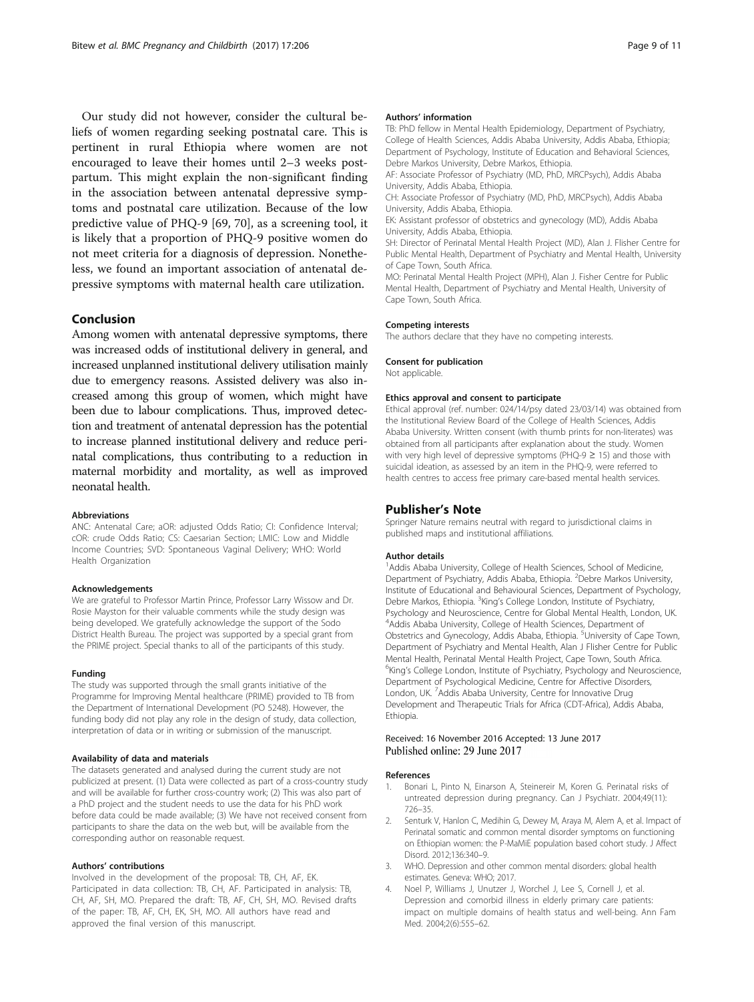<span id="page-8-0"></span>Our study did not however, consider the cultural beliefs of women regarding seeking postnatal care. This is pertinent in rural Ethiopia where women are not encouraged to leave their homes until 2–3 weeks postpartum. This might explain the non-significant finding in the association between antenatal depressive symptoms and postnatal care utilization. Because of the low predictive value of PHQ-9 [\[69](#page-10-0), [70\]](#page-10-0), as a screening tool, it is likely that a proportion of PHQ-9 positive women do not meet criteria for a diagnosis of depression. Nonetheless, we found an important association of antenatal depressive symptoms with maternal health care utilization.

## Conclusion

Among women with antenatal depressive symptoms, there was increased odds of institutional delivery in general, and increased unplanned institutional delivery utilisation mainly due to emergency reasons. Assisted delivery was also increased among this group of women, which might have been due to labour complications. Thus, improved detection and treatment of antenatal depression has the potential to increase planned institutional delivery and reduce perinatal complications, thus contributing to a reduction in maternal morbidity and mortality, as well as improved neonatal health.

#### **Abbreviations**

ANC: Antenatal Care; aOR: adjusted Odds Ratio; CI: Confidence Interval; cOR: crude Odds Ratio; CS: Caesarian Section; LMIC: Low and Middle Income Countries; SVD: Spontaneous Vaginal Delivery; WHO: World Health Organization

#### Acknowledgements

We are grateful to Professor Martin Prince, Professor Larry Wissow and Dr. Rosie Mayston for their valuable comments while the study design was being developed. We gratefully acknowledge the support of the Sodo District Health Bureau. The project was supported by a special grant from the PRIME project. Special thanks to all of the participants of this study.

#### Funding

The study was supported through the small grants initiative of the Programme for Improving Mental healthcare (PRIME) provided to TB from the Department of International Development (PO 5248). However, the funding body did not play any role in the design of study, data collection, interpretation of data or in writing or submission of the manuscript.

## Availability of data and materials

The datasets generated and analysed during the current study are not publicized at present. (1) Data were collected as part of a cross-country study and will be available for further cross-country work; (2) This was also part of a PhD project and the student needs to use the data for his PhD work before data could be made available; (3) We have not received consent from participants to share the data on the web but, will be available from the corresponding author on reasonable request.

## Authors' contributions

Involved in the development of the proposal: TB, CH, AF, EK. Participated in data collection: TB, CH, AF. Participated in analysis: TB, CH, AF, SH, MO. Prepared the draft: TB, AF, CH, SH, MO. Revised drafts of the paper: TB, AF, CH, EK, SH, MO. All authors have read and approved the final version of this manuscript.

#### Authors' information

TB: PhD fellow in Mental Health Epidemiology, Department of Psychiatry, College of Health Sciences, Addis Ababa University, Addis Ababa, Ethiopia; Department of Psychology, Institute of Education and Behavioral Sciences, Debre Markos University, Debre Markos, Ethiopia.

AF: Associate Professor of Psychiatry (MD, PhD, MRCPsych), Addis Ababa University, Addis Ababa, Ethiopia.

CH: Associate Professor of Psychiatry (MD, PhD, MRCPsych), Addis Ababa University, Addis Ababa, Ethiopia.

EK: Assistant professor of obstetrics and gynecology (MD), Addis Ababa University, Addis Ababa, Ethiopia.

SH: Director of Perinatal Mental Health Project (MD), Alan J. Flisher Centre for Public Mental Health, Department of Psychiatry and Mental Health, University of Cape Town, South Africa.

MO: Perinatal Mental Health Project (MPH), Alan J. Fisher Centre for Public Mental Health, Department of Psychiatry and Mental Health, University of Cape Town, South Africa.

## Competing interests

The authors declare that they have no competing interests.

#### Consent for publication

Not applicable.

#### Ethics approval and consent to participate

Ethical approval (ref. number: 024/14/psy dated 23/03/14) was obtained from the Institutional Review Board of the College of Health Sciences, Addis Ababa University. Written consent (with thumb prints for non-literates) was obtained from all participants after explanation about the study. Women with very high level of depressive symptoms (PHQ-9 ≥ 15) and those with suicidal ideation, as assessed by an item in the PHQ-9, were referred to health centres to access free primary care-based mental health services.

#### Publisher's Note

Springer Nature remains neutral with regard to jurisdictional claims in published maps and institutional affiliations.

#### Author details

<sup>1</sup> Addis Ababa University, College of Health Sciences, School of Medicine, Department of Psychiatry, Addis Ababa, Ethiopia. <sup>2</sup>Debre Markos University Institute of Educational and Behavioural Sciences, Department of Psychology, Debre Markos, Ethiopia. <sup>3</sup>King's College London, Institute of Psychiatry Psychology and Neuroscience, Centre for Global Mental Health, London, UK. 4 Addis Ababa University, College of Health Sciences, Department of Obstetrics and Gynecology, Addis Ababa, Ethiopia. <sup>5</sup>University of Cape Town Department of Psychiatry and Mental Health, Alan J Flisher Centre for Public Mental Health, Perinatal Mental Health Project, Cape Town, South Africa. <sup>6</sup>King's College London, Institute of Psychiatry, Psychology and Neuroscience Department of Psychological Medicine, Centre for Affective Disorders, London, UK.<sup>7</sup> Addis Ababa University, Centre for Innovative Drug Development and Therapeutic Trials for Africa (CDT-Africa), Addis Ababa, Ethiopia.

## Received: 16 November 2016 Accepted: 13 June 2017 Published online: 29 June 2017

#### References

- Bonari L, Pinto N, Einarson A, Steinereir M, Koren G. Perinatal risks of untreated depression during pregnancy. Can J Psychiatr. 2004;49(11): 726–35.
- Senturk V, Hanlon C, Medihin G, Dewey M, Araya M, Alem A, et al. Impact of Perinatal somatic and common mental disorder symptoms on functioning on Ethiopian women: the P-MaMiE population based cohort study. J Affect Disord. 2012;136:340–9.
- 3. WHO. Depression and other common mental disorders: global health estimates. Geneva: WHO; 2017.
- 4. Noel P, Williams J, Unutzer J, Worchel J, Lee S, Cornell J, et al. Depression and comorbid illness in elderly primary care patients: impact on multiple domains of health status and well-being. Ann Fam Med. 2004;2(6):555–62.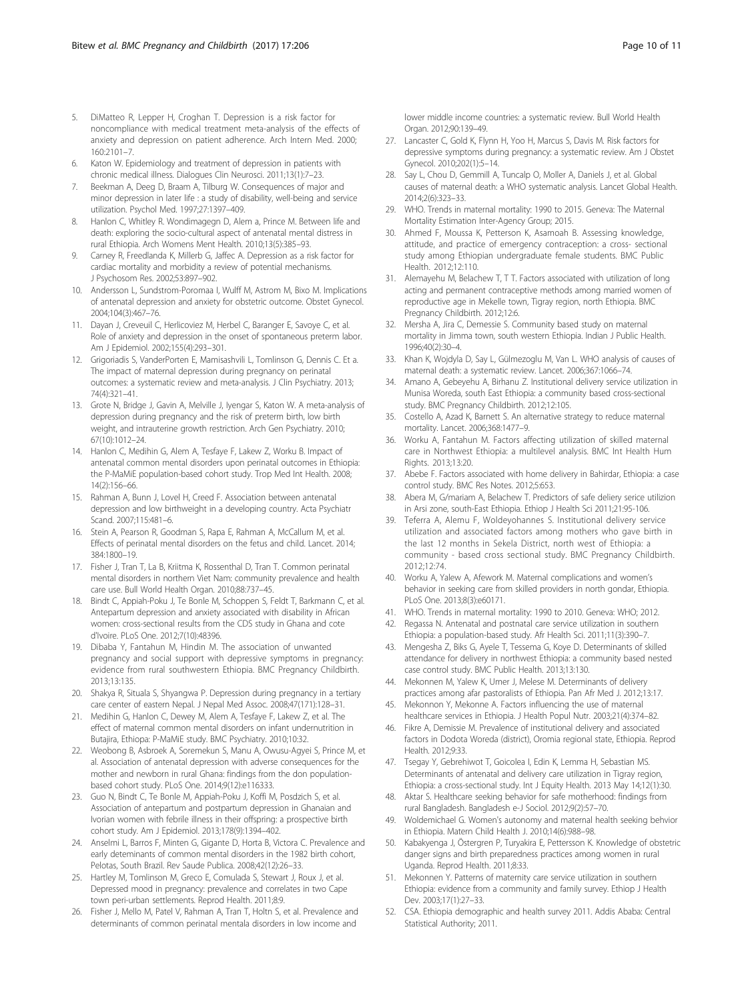- <span id="page-9-0"></span>5. DiMatteo R, Lepper H, Croghan T. Depression is a risk factor for noncompliance with medical treatment meta-analysis of the effects of anxiety and depression on patient adherence. Arch Intern Med. 2000; 160:2101–7.
- 6. Katon W. Epidemiology and treatment of depression in patients with chronic medical illness. Dialogues Clin Neurosci. 2011;13(1):7–23.
- 7. Beekman A, Deeg D, Braam A, Tilburg W. Consequences of major and minor depression in later life : a study of disability, well-being and service utilization. Psychol Med. 1997;27:1397–409.
- 8. Hanlon C, Whitley R. Wondimagegn D, Alem a, Prince M. Between life and death: exploring the socio-cultural aspect of antenatal mental distress in rural Ethiopia. Arch Womens Ment Health. 2010;13(5):385–93.
- 9. Carney R, Freedlanda K, Millerb G, Jaffec A. Depression as a risk factor for cardiac mortality and morbidity a review of potential mechanisms. J Psychosom Res. 2002;53:897–902.
- 10. Andersson L, Sundstrom-Poromaa I, Wulff M, Astrom M, Bixo M. Implications of antenatal depression and anxiety for obstetric outcome. Obstet Gynecol. 2004;104(3):467–76.
- 11. Dayan J, Creveuil C, Herlicoviez M, Herbel C, Baranger E, Savoye C, et al. Role of anxiety and depression in the onset of spontaneous preterm labor. Am J Epidemiol. 2002;155(4):293–301.
- 12. Grigoriadis S, VanderPorten E, Mamisashvili L, Tomlinson G, Dennis C. Et a. The impact of maternal depression during pregnancy on perinatal outcomes: a systematic review and meta-analysis. J Clin Psychiatry. 2013; 74(4):321–41.
- 13. Grote N, Bridge J, Gavin A, Melville J, Iyengar S, Katon W. A meta-analysis of depression during pregnancy and the risk of preterm birth, low birth weight, and intrauterine growth restriction. Arch Gen Psychiatry. 2010; 67(10):1012–24.
- 14. Hanlon C, Medihin G, Alem A, Tesfaye F, Lakew Z, Worku B. Impact of antenatal common mental disorders upon perinatal outcomes in Ethiopia: the P-MaMiE population-based cohort study. Trop Med Int Health. 2008; 14(2):156–66.
- 15. Rahman A, Bunn J, Lovel H, Creed F. Association between antenatal depression and low birthweight in a developing country. Acta Psychiatr Scand. 2007;115:481–6.
- 16. Stein A, Pearson R, Goodman S, Rapa E, Rahman A, McCallum M, et al. Effects of perinatal mental disorders on the fetus and child. Lancet. 2014; 384:1800–19.
- 17. Fisher J, Tran T, La B, Kriitma K, Rossenthal D, Tran T. Common perinatal mental disorders in northern Viet Nam: community prevalence and health care use. Bull World Health Organ. 2010;88:737–45.
- 18. Bindt C, Appiah-Poku J, Te Bonle M, Schoppen S, Feldt T, Barkmann C, et al. Antepartum depression and anxiety associated with disability in African women: cross-sectional results from the CDS study in Ghana and cote d'Ivoire. PLoS One. 2012;7(10):48396.
- 19. Dibaba Y, Fantahun M, Hindin M. The association of unwanted pregnancy and social support with depressive symptoms in pregnancy: evidence from rural southwestern Ethiopia. BMC Pregnancy Childbirth. 2013;13:135.
- 20. Shakya R, Situala S, Shyangwa P. Depression during pregnancy in a tertiary care center of eastern Nepal. J Nepal Med Assoc. 2008;47(171):128–31.
- 21. Medihin G, Hanlon C, Dewey M, Alem A, Tesfaye F, Lakew Z, et al. The effect of maternal common mental disorders on infant undernutrition in Butajira, Ethiopa: P-MaMiE study. BMC Psychiatry. 2010;10:32.
- 22. Weobong B, Asbroek A, Soremekun S, Manu A, Owusu-Agyei S, Prince M, et al. Association of antenatal depression with adverse consequences for the mother and newborn in rural Ghana: findings from the don populationbased cohort study. PLoS One. 2014;9(12):e116333.
- 23. Guo N, Bindt C, Te Bonle M, Appiah-Poku J, Koffi M, Posdzich S, et al. Association of antepartum and postpartum depression in Ghanaian and Ivorian women with febrile illness in their offspring: a prospective birth cohort study. Am J Epidemiol. 2013;178(9):1394–402.
- 24. Anselmi L, Barros F, Minten G, Gigante D, Horta B, Victora C. Prevalence and early deteminants of common mental disorders in the 1982 birth cohort, Pelotas, South Brazil. Rev Saude Publica. 2008;42(12):26–33.
- 25. Hartley M, Tomlinson M, Greco E, Comulada S, Stewart J, Roux J, et al. Depressed mood in pregnancy: prevalence and correlates in two Cape town peri-urban settlements. Reprod Health. 2011;8:9.
- 26. Fisher J, Mello M, Patel V, Rahman A, Tran T, Holtn S, et al. Prevalence and determinants of common perinatal mentala disorders in low income and

lower middle income countries: a systematic review. Bull World Health Organ. 2012;90:139–49.

- 27. Lancaster C, Gold K, Flynn H, Yoo H, Marcus S, Davis M. Risk factors for depressive symptoms during pregnancy: a systematic review. Am J Obstet Gynecol. 2010;202(1):5–14.
- 28. Say L, Chou D, Gemmill A, Tuncalp O, Moller A, Daniels J, et al. Global causes of maternal death: a WHO systematic analysis. Lancet Global Health. 2014;2(6):323–33.
- 29. WHO. Trends in maternal mortality: 1990 to 2015. Geneva: The Maternal Mortality Estimation Inter-Agency Group; 2015.
- 30. Ahmed F, Moussa K, Petterson K, Asamoah B. Assessing knowledge, attitude, and practice of emergency contraception: a cross- sectional study among Ethiopian undergraduate female students. BMC Public Health. 2012;12:110.
- 31. Alemayehu M, Belachew T, T T. Factors associated with utilization of long acting and permanent contraceptive methods among married women of reproductive age in Mekelle town, Tigray region, north Ethiopia. BMC Pregnancy Childbirth. 2012;12:6.
- 32. Mersha A, Jira C, Demessie S. Community based study on maternal mortality in Jimma town, south western Ethiopia. Indian J Public Health. 1996;40(2):30–4.
- 33. Khan K, Wojdyla D, Say L, Gülmezoglu M, Van L. WHO analysis of causes of maternal death: a systematic review. Lancet. 2006;367:1066–74.
- 34. Amano A, Gebeyehu A, Birhanu Z. Institutional delivery service utilization in Munisa Woreda, south East Ethiopia: a community based cross-sectional study. BMC Pregnancy Childbirth. 2012;12:105.
- 35. Costello A, Azad K, Barnett S. An alternative strategy to reduce maternal mortality. Lancet. 2006;368:1477–9.
- 36. Worku A, Fantahun M. Factors affecting utilization of skilled maternal care in Northwest Ethiopia: a multilevel analysis. BMC Int Health Hum Rights. 2013;13:20.
- 37. Abebe F. Factors associated with home delivery in Bahirdar, Ethiopia: a case control study. BMC Res Notes. 2012;5:653.
- 38. Abera M, G/mariam A, Belachew T. Predictors of safe deliery serice utilizion in Arsi zone, south-East Ethiopia. Ethiop J Health Sci 2011;21:95-106.
- 39. Teferra A, Alemu F, Woldeyohannes S. Institutional delivery service utilization and associated factors among mothers who gave birth in the last 12 months in Sekela District, north west of Ethiopia: a community - based cross sectional study. BMC Pregnancy Childbirth. 2012;12:74.
- 40. Worku A, Yalew A, Afework M. Maternal complications and women's behavior in seeking care from skilled providers in north gondar, Ethiopia. PLoS One. 2013;8(3):e60171.
- 41. WHO. Trends in maternal mortality: 1990 to 2010. Geneva: WHO; 2012.
- 42. Regassa N. Antenatal and postnatal care service utilization in southern Ethiopia: a population-based study. Afr Health Sci. 2011;11(3):390–7.
- 43. Mengesha Z, Biks G, Ayele T, Tessema G, Koye D. Determinants of skilled attendance for delivery in northwest Ethiopia: a community based nested case control study. BMC Public Health. 2013;13:130.
- 44. Mekonnen M, Yalew K, Umer J, Melese M. Determinants of delivery practices among afar pastoralists of Ethiopia. Pan Afr Med J. 2012;13:17.
- Mekonnon Y, Mekonne A. Factors influencing the use of maternal healthcare services in Ethiopia. J Health Popul Nutr. 2003;21(4):374–82.
- 46. Fikre A, Demissie M. Prevalence of institutional delivery and associated factors in Dodota Woreda (district), Oromia regional state, Ethiopia. Reprod Health. 2012;9:33.
- 47. Tsegay Y, Gebrehiwot T, Goicolea I, Edin K, Lemma H, Sebastian MS. Determinants of antenatal and delivery care utilization in Tigray region, Ethiopia: a cross-sectional study. Int J Equity Health. 2013 May 14;12(1):30.
- 48. Aktar S. Healthcare seeking behavior for safe motherhood: findings from rural Bangladesh. Bangladesh e-J Sociol. 2012;9(2):57–70.
- 49. Woldemichael G. Women's autonomy and maternal health seeking behvior in Ethiopia. Matern Child Health J. 2010;14(6):988–98.
- 50. Kabakyenga J, Östergren P, Turyakira E, Pettersson K. Knowledge of obstetric danger signs and birth preparedness practices among women in rural Uganda. Reprod Health. 2011;8:33.
- 51. Mekonnen Y. Patterns of maternity care service utilization in southern Ethiopia: evidence from a community and family survey. Ethiop J Health Dev. 2003;17(1):27–33.
- 52. CSA. Ethiopia demographic and health survey 2011. Addis Ababa: Central Statistical Authority; 2011.